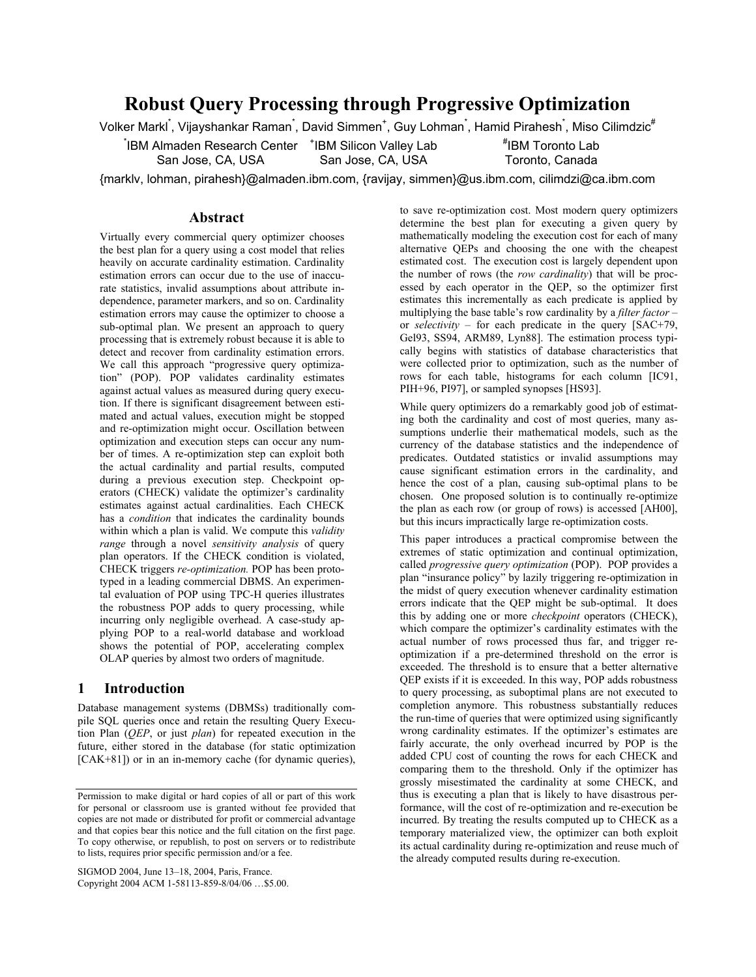# **Robust Query Processing through Progressive Optimization**

Volker Markl<sup>\*</sup>, Vijayshankar Raman<sup>\*</sup>, David Simmen<sup>+</sup>, Guy Lohman<sup>\*</sup>, Hamid Pirahesh<sup>\*</sup>, Miso Cilimdzic<sup>#</sup>

 \* IBM Almaden Research Center <sup>+</sup> IBM Silicon Valley Lab # San Jose, CA, USA San Jose, CA, USA Toronto, Canada

<sup>#</sup>IBM Toronto Lab

{marklv, lohman, pirahesh}@almaden.ibm.com, {ravijay, simmen}@us.ibm.com, cilimdzi@ca.ibm.com

### **Abstract**

Virtually every commercial query optimizer chooses the best plan for a query using a cost model that relies heavily on accurate cardinality estimation. Cardinality estimation errors can occur due to the use of inaccurate statistics, invalid assumptions about attribute independence, parameter markers, and so on. Cardinality estimation errors may cause the optimizer to choose a sub-optimal plan. We present an approach to query processing that is extremely robust because it is able to detect and recover from cardinality estimation errors. We call this approach "progressive query optimization" (POP). POP validates cardinality estimates against actual values as measured during query execution. If there is significant disagreement between estimated and actual values, execution might be stopped and re-optimization might occur. Oscillation between optimization and execution steps can occur any number of times. A re-optimization step can exploit both the actual cardinality and partial results, computed during a previous execution step. Checkpoint operators (CHECK) validate the optimizer's cardinality estimates against actual cardinalities. Each CHECK has a *condition* that indicates the cardinality bounds within which a plan is valid. We compute this *validity range* through a novel *sensitivity analysis* of query plan operators. If the CHECK condition is violated, CHECK triggers *re-optimization.* POP has been prototyped in a leading commercial DBMS. An experimental evaluation of POP using TPC-H queries illustrates the robustness POP adds to query processing, while incurring only negligible overhead. A case-study applying POP to a real-world database and workload shows the potential of POP, accelerating complex OLAP queries by almost two orders of magnitude.

# **1 Introduction**

Database management systems (DBMSs) traditionally compile SQL queries once and retain the resulting Query Execution Plan (*QEP*, or just *plan*) for repeated execution in the future, either stored in the database (for static optimization [CAK+81]) or in an in-memory cache (for dynamic queries),

SIGMOD 2004, June 13–18, 2004, Paris, France. Copyright 2004 ACM 1-58113-859-8/04/06 …\$5.00.

to save re-optimization cost. Most modern query optimizers determine the best plan for executing a given query by mathematically modeling the execution cost for each of many alternative QEPs and choosing the one with the cheapest estimated cost. The execution cost is largely dependent upon the number of rows (the *row cardinality*) that will be processed by each operator in the QEP, so the optimizer first estimates this incrementally as each predicate is applied by multiplying the base table's row cardinality by a *filter factor* – or *selectivity* – for each predicate in the query [SAC+79, Gel93, SS94, ARM89, Lyn88]. The estimation process typically begins with statistics of database characteristics that were collected prior to optimization, such as the number of rows for each table, histograms for each column [IC91, PIH+96, PI97], or sampled synopses [HS93].

While query optimizers do a remarkably good job of estimating both the cardinality and cost of most queries, many assumptions underlie their mathematical models, such as the currency of the database statistics and the independence of predicates. Outdated statistics or invalid assumptions may cause significant estimation errors in the cardinality, and hence the cost of a plan, causing sub-optimal plans to be chosen. One proposed solution is to continually re-optimize the plan as each row (or group of rows) is accessed [AH00], but this incurs impractically large re-optimization costs.

This paper introduces a practical compromise between the extremes of static optimization and continual optimization, called *progressive query optimization* (POP). POP provides a plan "insurance policy" by lazily triggering re-optimization in the midst of query execution whenever cardinality estimation errors indicate that the QEP might be sub-optimal. It does this by adding one or more *checkpoint* operators (CHECK), which compare the optimizer's cardinality estimates with the actual number of rows processed thus far, and trigger reoptimization if a pre-determined threshold on the error is exceeded. The threshold is to ensure that a better alternative QEP exists if it is exceeded. In this way, POP adds robustness to query processing, as suboptimal plans are not executed to completion anymore. This robustness substantially reduces the run-time of queries that were optimized using significantly wrong cardinality estimates. If the optimizer's estimates are fairly accurate, the only overhead incurred by POP is the added CPU cost of counting the rows for each CHECK and comparing them to the threshold. Only if the optimizer has grossly misestimated the cardinality at some CHECK, and thus is executing a plan that is likely to have disastrous performance, will the cost of re-optimization and re-execution be incurred. By treating the results computed up to CHECK as a temporary materialized view, the optimizer can both exploit its actual cardinality during re-optimization and reuse much of the already computed results during re-execution.

Permission to make digital or hard copies of all or part of this work for personal or classroom use is granted without fee provided that copies are not made or distributed for profit or commercial advantage and that copies bear this notice and the full citation on the first page. To copy otherwise, or republish, to post on servers or to redistribute to lists, requires prior specific permission and/or a fee.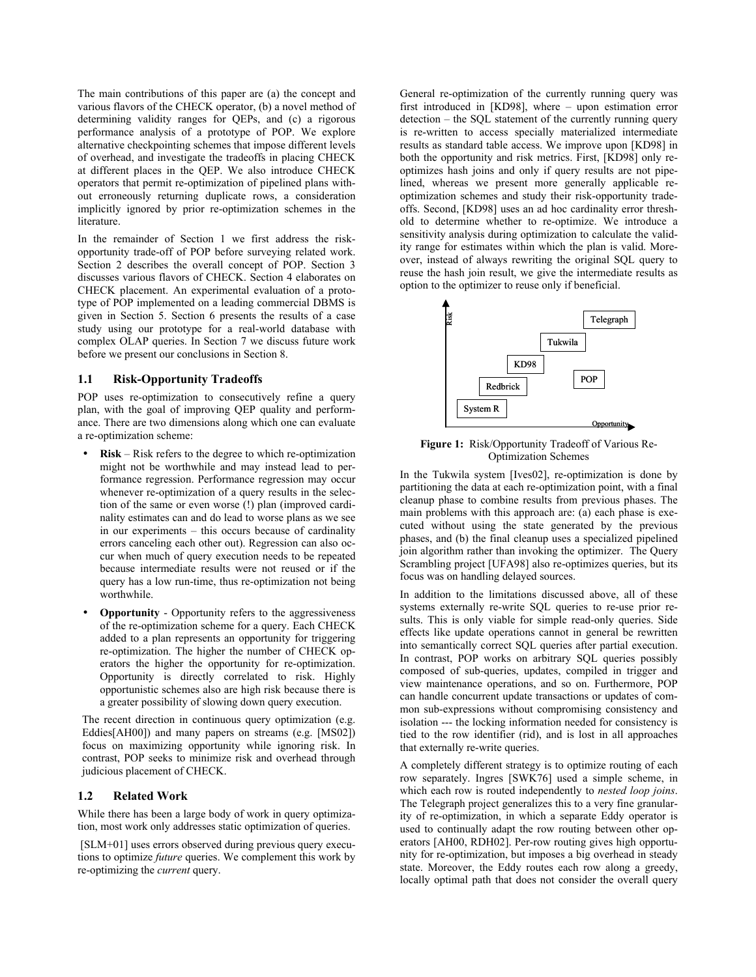The main contributions of this paper are (a) the concept and various flavors of the CHECK operator, (b) a novel method of determining validity ranges for QEPs, and (c) a rigorous performance analysis of a prototype of POP. We explore alternative checkpointing schemes that impose different levels of overhead, and investigate the tradeoffs in placing CHECK at different places in the QEP. We also introduce CHECK operators that permit re-optimization of pipelined plans without erroneously returning duplicate rows, a consideration implicitly ignored by prior re-optimization schemes in the literature.

In the remainder of Section 1 we first address the riskopportunity trade-off of POP before surveying related work. Section 2 describes the overall concept of POP. Section 3 discusses various flavors of CHECK. Section 4 elaborates on CHECK placement. An experimental evaluation of a prototype of POP implemented on a leading commercial DBMS is given in Section 5. Section 6 presents the results of a case study using our prototype for a real-world database with complex OLAP queries. In Section 7 we discuss future work before we present our conclusions in Section 8.

#### **1.1 Risk-Opportunity Tradeoffs**

POP uses re-optimization to consecutively refine a query plan, with the goal of improving QEP quality and performance. There are two dimensions along which one can evaluate a re-optimization scheme:

- **Risk** Risk refers to the degree to which re-optimization might not be worthwhile and may instead lead to performance regression. Performance regression may occur whenever re-optimization of a query results in the selection of the same or even worse (!) plan (improved cardinality estimates can and do lead to worse plans as we see in our experiments – this occurs because of cardinality errors canceling each other out). Regression can also occur when much of query execution needs to be repeated because intermediate results were not reused or if the query has a low run-time, thus re-optimization not being worthwhile.
- **Opportunity** Opportunity refers to the aggressiveness of the re-optimization scheme for a query. Each CHECK added to a plan represents an opportunity for triggering re-optimization. The higher the number of CHECK operators the higher the opportunity for re-optimization. Opportunity is directly correlated to risk. Highly opportunistic schemes also are high risk because there is a greater possibility of slowing down query execution.

The recent direction in continuous query optimization (e.g. Eddies[AH00]) and many papers on streams (e.g. [MS02]) focus on maximizing opportunity while ignoring risk. In contrast, POP seeks to minimize risk and overhead through judicious placement of CHECK.

### **1.2 Related Work**

While there has been a large body of work in query optimization, most work only addresses static optimization of queries.

 [SLM+01] uses errors observed during previous query executions to optimize *future* queries. We complement this work by re-optimizing the *current* query.

General re-optimization of the currently running query was first introduced in [KD98], where – upon estimation error detection – the SQL statement of the currently running query is re-written to access specially materialized intermediate results as standard table access. We improve upon [KD98] in both the opportunity and risk metrics. First, [KD98] only reoptimizes hash joins and only if query results are not pipelined, whereas we present more generally applicable reoptimization schemes and study their risk-opportunity tradeoffs. Second, [KD98] uses an ad hoc cardinality error threshold to determine whether to re-optimize. We introduce a sensitivity analysis during optimization to calculate the validity range for estimates within which the plan is valid. Moreover, instead of always rewriting the original SQL query to reuse the hash join result, we give the intermediate results as option to the optimizer to reuse only if beneficial.



**Figure 1:** Risk/Opportunity Tradeoff of Various Re-Optimization Schemes

In the Tukwila system [Ives02], re-optimization is done by partitioning the data at each re-optimization point, with a final cleanup phase to combine results from previous phases. The main problems with this approach are: (a) each phase is executed without using the state generated by the previous phases, and (b) the final cleanup uses a specialized pipelined join algorithm rather than invoking the optimizer. The Query Scrambling project [UFA98] also re-optimizes queries, but its focus was on handling delayed sources.

In addition to the limitations discussed above, all of these systems externally re-write SQL queries to re-use prior results. This is only viable for simple read-only queries. Side effects like update operations cannot in general be rewritten into semantically correct SQL queries after partial execution. In contrast, POP works on arbitrary SQL queries possibly composed of sub-queries, updates, compiled in trigger and view maintenance operations, and so on. Furthermore, POP can handle concurrent update transactions or updates of common sub-expressions without compromising consistency and isolation --- the locking information needed for consistency is tied to the row identifier (rid), and is lost in all approaches that externally re-write queries.

A completely different strategy is to optimize routing of each row separately. Ingres [SWK76] used a simple scheme, in which each row is routed independently to *nested loop joins*. The Telegraph project generalizes this to a very fine granularity of re-optimization, in which a separate Eddy operator is used to continually adapt the row routing between other operators [AH00, RDH02]. Per-row routing gives high opportunity for re-optimization, but imposes a big overhead in steady state. Moreover, the Eddy routes each row along a greedy, locally optimal path that does not consider the overall query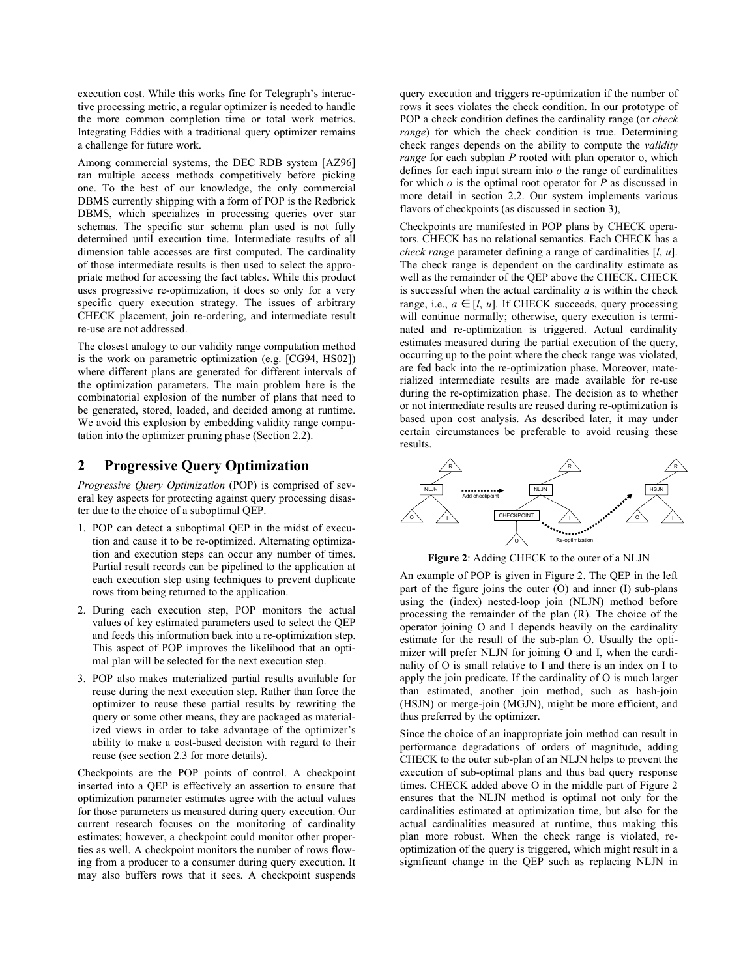execution cost. While this works fine for Telegraph's interactive processing metric, a regular optimizer is needed to handle the more common completion time or total work metrics. Integrating Eddies with a traditional query optimizer remains a challenge for future work.

Among commercial systems, the DEC RDB system [AZ96] ran multiple access methods competitively before picking one. To the best of our knowledge, the only commercial DBMS currently shipping with a form of POP is the Redbrick DBMS, which specializes in processing queries over star schemas. The specific star schema plan used is not fully determined until execution time. Intermediate results of all dimension table accesses are first computed. The cardinality of those intermediate results is then used to select the appropriate method for accessing the fact tables. While this product uses progressive re-optimization, it does so only for a very specific query execution strategy. The issues of arbitrary CHECK placement, join re-ordering, and intermediate result re-use are not addressed.

The closest analogy to our validity range computation method is the work on parametric optimization (e.g. [CG94, HS02]) where different plans are generated for different intervals of the optimization parameters. The main problem here is the combinatorial explosion of the number of plans that need to be generated, stored, loaded, and decided among at runtime. We avoid this explosion by embedding validity range computation into the optimizer pruning phase (Section 2.2).

# **2 Progressive Query Optimization**

*Progressive Query Optimization* (POP) is comprised of several key aspects for protecting against query processing disaster due to the choice of a suboptimal QEP.

- 1. POP can detect a suboptimal QEP in the midst of execution and cause it to be re-optimized. Alternating optimization and execution steps can occur any number of times. Partial result records can be pipelined to the application at each execution step using techniques to prevent duplicate rows from being returned to the application.
- 2. During each execution step, POP monitors the actual values of key estimated parameters used to select the QEP and feeds this information back into a re-optimization step. This aspect of POP improves the likelihood that an optimal plan will be selected for the next execution step.
- 3. POP also makes materialized partial results available for reuse during the next execution step. Rather than force the optimizer to reuse these partial results by rewriting the query or some other means, they are packaged as materialized views in order to take advantage of the optimizer's ability to make a cost-based decision with regard to their reuse (see section 2.3 for more details).

Checkpoints are the POP points of control. A checkpoint inserted into a QEP is effectively an assertion to ensure that optimization parameter estimates agree with the actual values for those parameters as measured during query execution. Our current research focuses on the monitoring of cardinality estimates; however, a checkpoint could monitor other properties as well. A checkpoint monitors the number of rows flowing from a producer to a consumer during query execution. It may also buffers rows that it sees. A checkpoint suspends

query execution and triggers re-optimization if the number of rows it sees violates the check condition. In our prototype of POP a check condition defines the cardinality range (or *check range*) for which the check condition is true. Determining check ranges depends on the ability to compute the *validity range* for each subplan *P* rooted with plan operator o, which defines for each input stream into *o* the range of cardinalities for which *o* is the optimal root operator for *P* as discussed in more detail in section 2.2. Our system implements various flavors of checkpoints (as discussed in section 3),

Checkpoints are manifested in POP plans by CHECK operators. CHECK has no relational semantics. Each CHECK has a *check range* parameter defining a range of cardinalities [*l*, *u*]. The check range is dependent on the cardinality estimate as well as the remainder of the QEP above the CHECK. CHECK is successful when the actual cardinality *a* is within the check range, i.e.,  $a \in [l, u]$ . If CHECK succeeds, query processing will continue normally; otherwise, query execution is terminated and re-optimization is triggered. Actual cardinality estimates measured during the partial execution of the query, occurring up to the point where the check range was violated, are fed back into the re-optimization phase. Moreover, materialized intermediate results are made available for re-use during the re-optimization phase. The decision as to whether or not intermediate results are reused during re-optimization is based upon cost analysis. As described later, it may under certain circumstances be preferable to avoid reusing these results.



**Figure 2**: Adding CHECK to the outer of a NLJN

An example of POP is given in Figure 2. The QEP in the left part of the figure joins the outer (O) and inner (I) sub-plans using the (index) nested-loop join (NLJN) method before processing the remainder of the plan (R). The choice of the operator joining O and I depends heavily on the cardinality estimate for the result of the sub-plan O. Usually the optimizer will prefer NLJN for joining O and I, when the cardinality of O is small relative to I and there is an index on I to apply the join predicate. If the cardinality of O is much larger than estimated, another join method, such as hash-join (HSJN) or merge-join (MGJN), might be more efficient, and thus preferred by the optimizer.

Since the choice of an inappropriate join method can result in performance degradations of orders of magnitude, adding CHECK to the outer sub-plan of an NLJN helps to prevent the execution of sub-optimal plans and thus bad query response times. CHECK added above O in the middle part of Figure 2 ensures that the NLJN method is optimal not only for the cardinalities estimated at optimization time, but also for the actual cardinalities measured at runtime, thus making this plan more robust. When the check range is violated, reoptimization of the query is triggered, which might result in a significant change in the QEP such as replacing NLJN in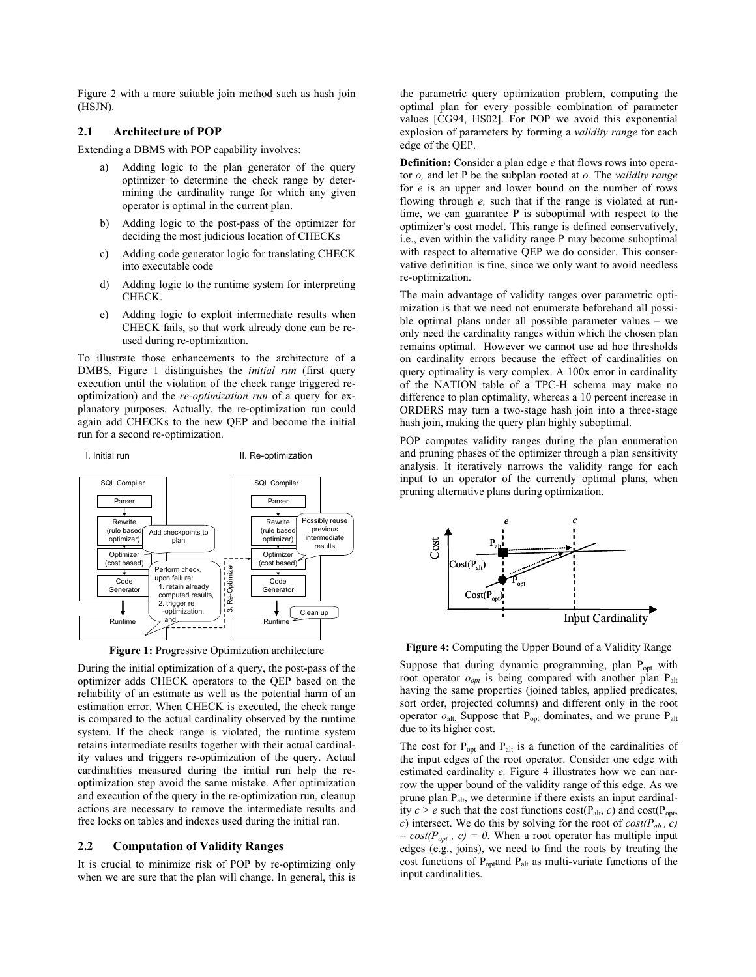Figure 2 with a more suitable join method such as hash join (HSJN).

#### **2.1 Architecture of POP**

Extending a DBMS with POP capability involves:

- Adding logic to the plan generator of the query optimizer to determine the check range by determining the cardinality range for which any given operator is optimal in the current plan.
- b) Adding logic to the post-pass of the optimizer for deciding the most judicious location of CHECKs
- c) Adding code generator logic for translating CHECK into executable code
- d) Adding logic to the runtime system for interpreting CHECK.
- e) Adding logic to exploit intermediate results when CHECK fails, so that work already done can be reused during re-optimization.

To illustrate those enhancements to the architecture of a DMBS, Figure 1 distinguishes the *initial run* (first query execution until the violation of the check range triggered reoptimization) and the *re-optimization run* of a query for explanatory purposes. Actually, the re-optimization run could again add CHECKs to the new QEP and become the initial run for a second re-optimization.



**Figure 1:** Progressive Optimization architecture

During the initial optimization of a query, the post-pass of the optimizer adds CHECK operators to the QEP based on the reliability of an estimate as well as the potential harm of an estimation error. When CHECK is executed, the check range is compared to the actual cardinality observed by the runtime system. If the check range is violated, the runtime system retains intermediate results together with their actual cardinality values and triggers re-optimization of the query. Actual cardinalities measured during the initial run help the reoptimization step avoid the same mistake. After optimization and execution of the query in the re-optimization run, cleanup actions are necessary to remove the intermediate results and free locks on tables and indexes used during the initial run.

### **2.2 Computation of Validity Ranges**

It is crucial to minimize risk of POP by re-optimizing only when we are sure that the plan will change. In general, this is the parametric query optimization problem, computing the optimal plan for every possible combination of parameter values [CG94, HS02]. For POP we avoid this exponential explosion of parameters by forming a *validity range* for each edge of the QEP.

**Definition:** Consider a plan edge *e* that flows rows into operator *o,* and let P be the subplan rooted at *o.* The *validity range* for *e* is an upper and lower bound on the number of rows flowing through *e,* such that if the range is violated at runtime, we can guarantee P is suboptimal with respect to the optimizer's cost model. This range is defined conservatively, i.e., even within the validity range P may become suboptimal with respect to alternative QEP we do consider. This conservative definition is fine, since we only want to avoid needless re-optimization.

The main advantage of validity ranges over parametric optimization is that we need not enumerate beforehand all possible optimal plans under all possible parameter values – we only need the cardinality ranges within which the chosen plan remains optimal. However we cannot use ad hoc thresholds on cardinality errors because the effect of cardinalities on query optimality is very complex. A 100x error in cardinality of the NATION table of a TPC-H schema may make no difference to plan optimality, whereas a 10 percent increase in ORDERS may turn a two-stage hash join into a three-stage hash join, making the query plan highly suboptimal.

POP computes validity ranges during the plan enumeration and pruning phases of the optimizer through a plan sensitivity analysis. It iteratively narrows the validity range for each input to an operator of the currently optimal plans, when pruning alternative plans during optimization.



**Figure 4:** Computing the Upper Bound of a Validity Range

Suppose that during dynamic programming, plan  $P_{opt}$  with root operator  $o_{opt}$  is being compared with another plan  $P_{alt}$ having the same properties (joined tables, applied predicates, sort order, projected columns) and different only in the root operator  $o_{alt.}$  Suppose that P<sub>opt</sub> dominates, and we prune P<sub>alt</sub> due to its higher cost.

The cost for  $P_{opt}$  and  $P_{alt}$  is a function of the cardinalities of the input edges of the root operator. Consider one edge with estimated cardinality *e*. Figure 4 illustrates how we can narrow the upper bound of the validity range of this edge. As we prune plan Palt, we determine if there exists an input cardinality  $c > e$  such that the cost functions  $cost(P_{alt}, c)$  and  $cost(P_{opt}, c)$ *c*) intersect. We do this by solving for the root of  $cost(P_{alt}, c)$  $-\cos(tP_{\text{out}})$ ,  $c$ ) = 0. When a root operator has multiple input edges (e.g., joins), we need to find the roots by treating the cost functions of  $P_{opt}$  and  $P_{alt}$  as multi-variate functions of the input cardinalities.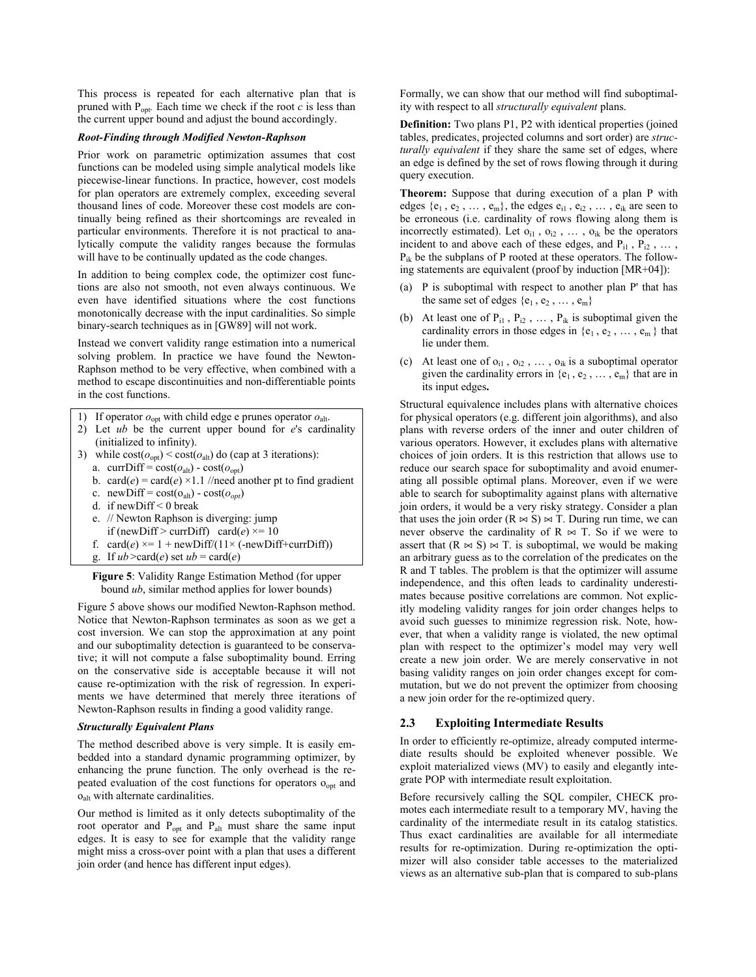This process is repeated for each alternative plan that is pruned with  $P_{opt}$ . Each time we check if the root  $c$  is less than the current upper bound and adjust the bound accordingly.

#### *Root-Finding through Modified Newton-Raphson*

Prior work on parametric optimization assumes that cost functions can be modeled using simple analytical models like piecewise-linear functions. In practice, however, cost models for plan operators are extremely complex, exceeding several thousand lines of code. Moreover these cost models are continually being refined as their shortcomings are revealed in particular environments. Therefore it is not practical to analytically compute the validity ranges because the formulas will have to be continually updated as the code changes.

In addition to being complex code, the optimizer cost functions are also not smooth, not even always continuous. We even have identified situations where the cost functions monotonically decrease with the input cardinalities. So simple binary-search techniques as in [GW89] will not work.

Instead we convert validity range estimation into a numerical solving problem. In practice we have found the Newton-Raphson method to be very effective, when combined with a method to escape discontinuities and non-differentiable points in the cost functions.

- 1) If operator  $o_{opt}$  with child edge e prunes operator  $o_{alt}$ .
- 2) Let *ub* be the current upper bound for *e*'s cardinality (initialized to infinity).
- 3) while  $cost(o_{opt}) < cost(o_{alt})$  do (cap at 3 iterations): a. currDiff =  $cost(o_{alt})$  -  $cost(o_{opt})$ 
	- b. card(*e*) = card(*e*) ×1.1 //need another pt to find gradient
	- c. newDiff =  $cost(o_{alt})$   $cost(o_{opt})$
	- d. if newDiff < 0 break
	- e. // Newton Raphson is diverging: jump
	- if (newDiff > currDiff) card $(e) \times = 10$
	- f. card(*e*)  $\times$  = 1 + newDiff/(11 $\times$  (-newDiff+currDiff))
	- g. If  $ub$  > card(*e*) set  $ub$  = card(*e*)

**Figure 5**: Validity Range Estimation Method (for upper bound *ub*, similar method applies for lower bounds)

Figure 5 above shows our modified Newton-Raphson method. Notice that Newton-Raphson terminates as soon as we get a cost inversion. We can stop the approximation at any point and our suboptimality detection is guaranteed to be conservative; it will not compute a false suboptimality bound. Erring on the conservative side is acceptable because it will not cause re-optimization with the risk of regression. In experiments we have determined that merely three iterations of Newton-Raphson results in finding a good validity range.

#### *Structurally Equivalent Plans*

The method described above is very simple. It is easily embedded into a standard dynamic programming optimizer, by enhancing the prune function. The only overhead is the repeated evaluation of the cost functions for operators  $o_{opt}$  and oalt with alternate cardinalities.

Our method is limited as it only detects suboptimality of the root operator and P<sub>opt</sub> and P<sub>alt</sub> must share the same input edges. It is easy to see for example that the validity range might miss a cross-over point with a plan that uses a different join order (and hence has different input edges).

Formally, we can show that our method will find suboptimality with respect to all *structurally equivalent* plans.

**Definition:** Two plans P1, P2 with identical properties (joined tables, predicates, projected columns and sort order) are *structurally equivalent* if they share the same set of edges, where an edge is defined by the set of rows flowing through it during query execution.

**Theorem:** Suppose that during execution of a plan P with edges  $\{e_1, e_2, \ldots, e_m\}$ , the edges  $e_{i1}, e_{i2}, \ldots, e_{ik}$  are seen to be erroneous (i.e. cardinality of rows flowing along them is incorrectly estimated). Let  $o_{i1}$ ,  $o_{i2}$ , ...,  $o_{ik}$  be the operators incident to and above each of these edges, and  $P_{i1}$ ,  $P_{i2}$ , ...,  $P_{ik}$  be the subplans of P rooted at these operators. The following statements are equivalent (proof by induction [MR+04]):

- (a) P is suboptimal with respect to another plan P' that has the same set of edges  $\{e_1, e_2, \ldots, e_m\}$
- (b) At least one of  $P_{i1}$ ,  $P_{i2}$ , ...,  $P_{ik}$  is suboptimal given the cardinality errors in those edges in  $\{e_1, e_2, \dots, e_m\}$  that lie under them.
- (c) At least one of  $o_{i1}$ ,  $o_{i2}$ , ...,  $o_{ik}$  is a suboptimal operator given the cardinality errors in  $\{e_1, e_2, \ldots, e_m\}$  that are in its input edges**.**

Structural equivalence includes plans with alternative choices for physical operators (e.g. different join algorithms), and also plans with reverse orders of the inner and outer children of various operators. However, it excludes plans with alternative choices of join orders. It is this restriction that allows use to reduce our search space for suboptimality and avoid enumerating all possible optimal plans. Moreover, even if we were able to search for suboptimality against plans with alternative join orders, it would be a very risky strategy. Consider a plan that uses the join order  $(R \bowtie S) \bowtie T$ . During run time, we can never observe the cardinality of  $R \Join T$ . So if we were to assert that  $(R \Join S) \Join T$ . is suboptimal, we would be making an arbitrary guess as to the correlation of the predicates on the R and T tables. The problem is that the optimizer will assume independence, and this often leads to cardinality underestimates because positive correlations are common. Not explicitly modeling validity ranges for join order changes helps to avoid such guesses to minimize regression risk. Note, however, that when a validity range is violated, the new optimal plan with respect to the optimizer's model may very well create a new join order. We are merely conservative in not basing validity ranges on join order changes except for commutation, but we do not prevent the optimizer from choosing a new join order for the re-optimized query.

### **2.3 Exploiting Intermediate Results**

In order to efficiently re-optimize, already computed intermediate results should be exploited whenever possible. We exploit materialized views (MV) to easily and elegantly integrate POP with intermediate result exploitation.

Before recursively calling the SQL compiler, CHECK promotes each intermediate result to a temporary MV, having the cardinality of the intermediate result in its catalog statistics. Thus exact cardinalities are available for all intermediate results for re-optimization. During re-optimization the optimizer will also consider table accesses to the materialized views as an alternative sub-plan that is compared to sub-plans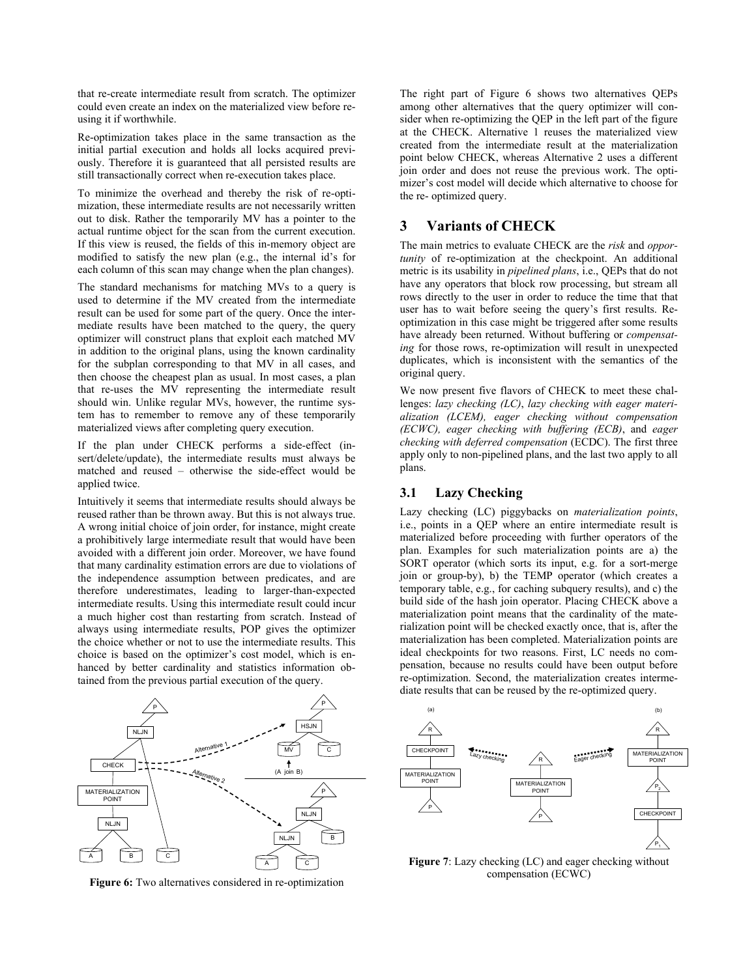that re-create intermediate result from scratch. The optimizer could even create an index on the materialized view before reusing it if worthwhile.

Re-optimization takes place in the same transaction as the initial partial execution and holds all locks acquired previously. Therefore it is guaranteed that all persisted results are still transactionally correct when re-execution takes place.

To minimize the overhead and thereby the risk of re-optimization, these intermediate results are not necessarily written out to disk. Rather the temporarily MV has a pointer to the actual runtime object for the scan from the current execution. If this view is reused, the fields of this in-memory object are modified to satisfy the new plan (e.g., the internal id's for each column of this scan may change when the plan changes).

The standard mechanisms for matching MVs to a query is used to determine if the MV created from the intermediate result can be used for some part of the query. Once the intermediate results have been matched to the query, the query optimizer will construct plans that exploit each matched MV in addition to the original plans, using the known cardinality for the subplan corresponding to that MV in all cases, and then choose the cheapest plan as usual. In most cases, a plan that re-uses the MV representing the intermediate result should win. Unlike regular MVs, however, the runtime system has to remember to remove any of these temporarily materialized views after completing query execution.

If the plan under CHECK performs a side-effect (insert/delete/update), the intermediate results must always be matched and reused – otherwise the side-effect would be applied twice.

Intuitively it seems that intermediate results should always be reused rather than be thrown away. But this is not always true. A wrong initial choice of join order, for instance, might create a prohibitively large intermediate result that would have been avoided with a different join order. Moreover, we have found that many cardinality estimation errors are due to violations of the independence assumption between predicates, and are therefore underestimates, leading to larger-than-expected intermediate results. Using this intermediate result could incur a much higher cost than restarting from scratch. Instead of always using intermediate results, POP gives the optimizer the choice whether or not to use the intermediate results. This choice is based on the optimizer's cost model, which is enhanced by better cardinality and statistics information obtained from the previous partial execution of the query.



**Figure 6:** Two alternatives considered in re-optimization

The right part of Figure 6 shows two alternatives QEPs among other alternatives that the query optimizer will consider when re-optimizing the QEP in the left part of the figure at the CHECK. Alternative 1 reuses the materialized view created from the intermediate result at the materialization point below CHECK, whereas Alternative 2 uses a different join order and does not reuse the previous work. The optimizer's cost model will decide which alternative to choose for the re- optimized query.

# **3 Variants of CHECK**

The main metrics to evaluate CHECK are the *risk* and *opportunity* of re-optimization at the checkpoint. An additional metric is its usability in *pipelined plans*, i.e., QEPs that do not have any operators that block row processing, but stream all rows directly to the user in order to reduce the time that that user has to wait before seeing the query's first results. Reoptimization in this case might be triggered after some results have already been returned. Without buffering or *compensating* for those rows, re-optimization will result in unexpected duplicates, which is inconsistent with the semantics of the original query.

We now present five flavors of CHECK to meet these challenges: *lazy checking (LC)*, *lazy checking with eager materialization (LCEM), eager checking without compensation (ECWC), eager checking with buffering (ECB)*, and *eager checking with deferred compensation* (ECDC). The first three apply only to non-pipelined plans, and the last two apply to all plans.

# **3.1 Lazy Checking**

Lazy checking (LC) piggybacks on *materialization points*, i.e., points in a QEP where an entire intermediate result is materialized before proceeding with further operators of the plan. Examples for such materialization points are a) the SORT operator (which sorts its input, e.g. for a sort-merge join or group-by), b) the TEMP operator (which creates a temporary table, e.g., for caching subquery results), and c) the build side of the hash join operator. Placing CHECK above a materialization point means that the cardinality of the materialization point will be checked exactly once, that is, after the materialization has been completed. Materialization points are ideal checkpoints for two reasons. First, LC needs no compensation, because no results could have been output before re-optimization. Second, the materialization creates intermediate results that can be reused by the re-optimized query.



**Figure 7**: Lazy checking (LC) and eager checking without compensation (ECWC)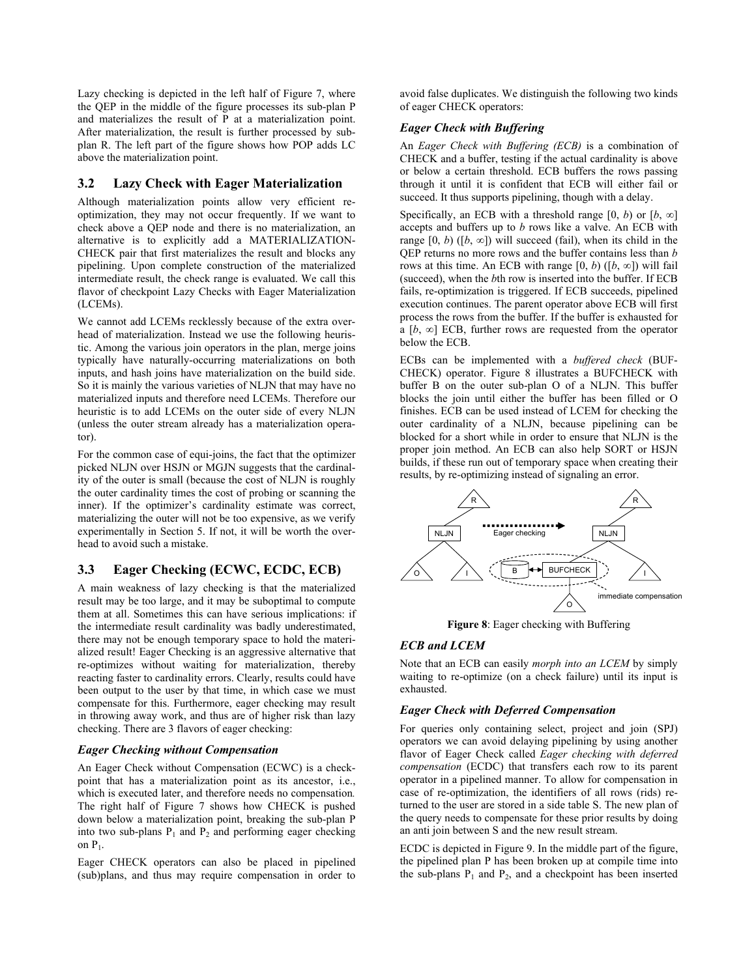Lazy checking is depicted in the left half of Figure 7, where the QEP in the middle of the figure processes its sub-plan P and materializes the result of P at a materialization point. After materialization, the result is further processed by subplan R. The left part of the figure shows how POP adds LC above the materialization point.

# **3.2 Lazy Check with Eager Materialization**

Although materialization points allow very efficient reoptimization, they may not occur frequently. If we want to check above a QEP node and there is no materialization, an alternative is to explicitly add a MATERIALIZATION-CHECK pair that first materializes the result and blocks any pipelining. Upon complete construction of the materialized intermediate result, the check range is evaluated. We call this flavor of checkpoint Lazy Checks with Eager Materialization (LCEMs).

We cannot add LCEMs recklessly because of the extra overhead of materialization. Instead we use the following heuristic. Among the various join operators in the plan, merge joins typically have naturally-occurring materializations on both inputs, and hash joins have materialization on the build side. So it is mainly the various varieties of NLJN that may have no materialized inputs and therefore need LCEMs. Therefore our heuristic is to add LCEMs on the outer side of every NLJN (unless the outer stream already has a materialization operator).

For the common case of equi-joins, the fact that the optimizer picked NLJN over HSJN or MGJN suggests that the cardinality of the outer is small (because the cost of NLJN is roughly the outer cardinality times the cost of probing or scanning the inner). If the optimizer's cardinality estimate was correct, materializing the outer will not be too expensive, as we verify experimentally in Section 5. If not, it will be worth the overhead to avoid such a mistake.

# **3.3 Eager Checking (ECWC, ECDC, ECB)**

A main weakness of lazy checking is that the materialized result may be too large, and it may be suboptimal to compute them at all. Sometimes this can have serious implications: if the intermediate result cardinality was badly underestimated, there may not be enough temporary space to hold the materialized result! Eager Checking is an aggressive alternative that re-optimizes without waiting for materialization, thereby reacting faster to cardinality errors. Clearly, results could have been output to the user by that time, in which case we must compensate for this. Furthermore, eager checking may result in throwing away work, and thus are of higher risk than lazy checking. There are 3 flavors of eager checking:

# *Eager Checking without Compensation*

An Eager Check without Compensation (ECWC) is a checkpoint that has a materialization point as its ancestor, i.e., which is executed later, and therefore needs no compensation*.*  The right half of Figure 7 shows how CHECK is pushed down below a materialization point, breaking the sub-plan P into two sub-plans  $P_1$  and  $P_2$  and performing eager checking on  $P_1$ .

Eager CHECK operators can also be placed in pipelined (sub)plans, and thus may require compensation in order to avoid false duplicates. We distinguish the following two kinds of eager CHECK operators:

# *Eager Check with Buffering*

An *Eager Check with Buffering (ECB)* is a combination of CHECK and a buffer, testing if the actual cardinality is above or below a certain threshold. ECB buffers the rows passing through it until it is confident that ECB will either fail or succeed. It thus supports pipelining, though with a delay.

Specifically, an ECB with a threshold range  $[0, b)$  or  $[b, \infty]$ accepts and buffers up to *b* rows like a valve. An ECB with range  $[0, b)$  ( $[b, \infty]$ ) will succeed (fail), when its child in the QEP returns no more rows and the buffer contains less than *b* rows at this time. An ECB with range  $[0, b)$  ( $[b, \infty]$ ) will fail (succeed), when the *b*th row is inserted into the buffer. If ECB fails, re-optimization is triggered. If ECB succeeds, pipelined execution continues. The parent operator above ECB will first process the rows from the buffer. If the buffer is exhausted for a  $[b, \infty]$  ECB, further rows are requested from the operator below the ECB.

ECBs can be implemented with a *buffered check* (BUF-CHECK) operator. Figure 8 illustrates a BUFCHECK with buffer B on the outer sub-plan O of a NLJN. This buffer blocks the join until either the buffer has been filled or O finishes. ECB can be used instead of LCEM for checking the outer cardinality of a NLJN, because pipelining can be blocked for a short while in order to ensure that NLJN is the proper join method. An ECB can also help SORT or HSJN builds, if these run out of temporary space when creating their results, by re-optimizing instead of signaling an error.



**Figure 8**: Eager checking with Buffering

# *ECB and LCEM*

Note that an ECB can easily *morph into an LCEM* by simply waiting to re-optimize (on a check failure) until its input is exhausted.

# *Eager Check with Deferred Compensation*

For queries only containing select, project and join (SPJ) operators we can avoid delaying pipelining by using another flavor of Eager Check called *Eager checking with deferred compensation* (ECDC) that transfers each row to its parent operator in a pipelined manner. To allow for compensation in case of re-optimization, the identifiers of all rows (rids) returned to the user are stored in a side table S. The new plan of the query needs to compensate for these prior results by doing an anti join between S and the new result stream.

ECDC is depicted in Figure 9. In the middle part of the figure, the pipelined plan P has been broken up at compile time into the sub-plans  $P_1$  and  $P_2$ , and a checkpoint has been inserted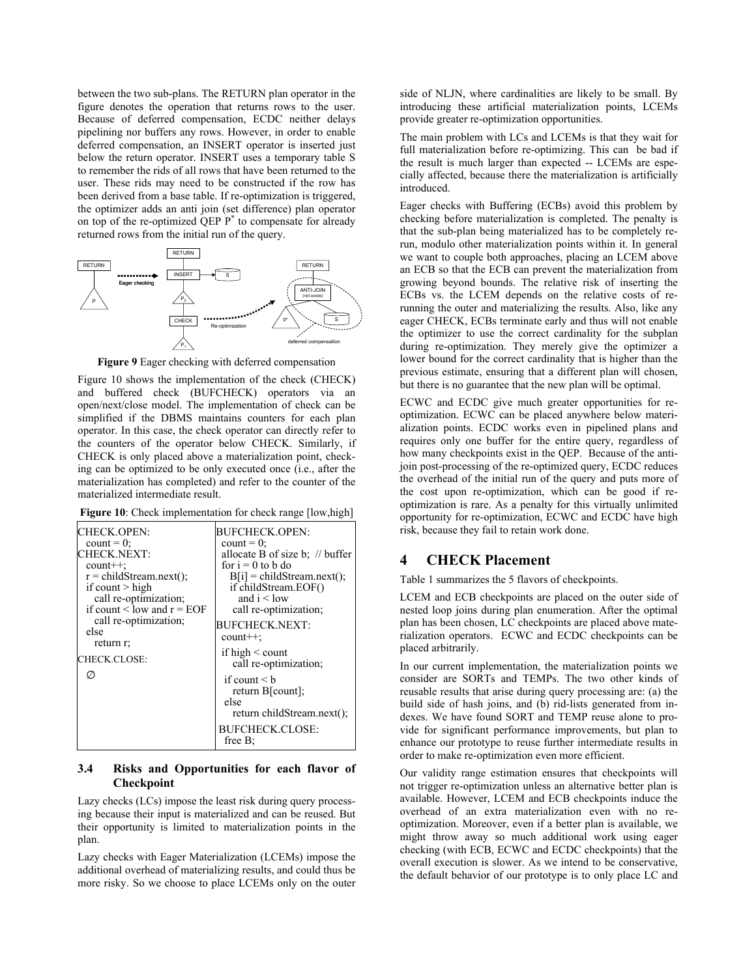between the two sub-plans. The RETURN plan operator in the figure denotes the operation that returns rows to the user. Because of deferred compensation, ECDC neither delays pipelining nor buffers any rows. However, in order to enable deferred compensation, an INSERT operator is inserted just below the return operator. INSERT uses a temporary table S to remember the rids of all rows that have been returned to the user. These rids may need to be constructed if the row has been derived from a base table. If re-optimization is triggered, the optimizer adds an anti join (set difference) plan operator on top of the re-optimized QEP  $P^*$  to compensate for already returned rows from the initial run of the query.



**Figure 9** Eager checking with deferred compensation

Figure 10 shows the implementation of the check (CHECK) and buffered check (BUFCHECK) operators via an open/next/close model. The implementation of check can be simplified if the DBMS maintains counters for each plan operator. In this case, the check operator can directly refer to the counters of the operator below CHECK. Similarly, if CHECK is only placed above a materialization point, checking can be optimized to be only executed once (i.e., after the materialization has completed) and refer to the counter of the materialized intermediate result.

**Figure 10**: Check implementation for check range [low,high]

| <b>CHECK.OPEN:</b>                                         | BUFCHECK.OPEN:                                                    |
|------------------------------------------------------------|-------------------------------------------------------------------|
| $count = 0$ ;                                              | $count = 0$ ;                                                     |
| <b>CHECK.NEXT:</b>                                         | allocate B of size b; $\frac{1}{2}$ buffer<br>for $i = 0$ to b do |
| $count++$ :<br>$r = childStream.next()$ ;                  | $B[i] = childStream.next();$                                      |
| if count $>$ high                                          | if childStream.EOF()                                              |
| call re-optimization;                                      | and $i <$ low                                                     |
| if count $\leq$ low and $r = EOF$<br>call re-optimization; | call re-optimization;                                             |
| else                                                       | BUFCHECK.NEXT:                                                    |
| return r;                                                  | $count++$ :                                                       |
| CHECK.CLOSE:                                               | if high $\le$ count<br>call re-optimization;                      |
|                                                            | if count $\leq b$                                                 |
|                                                            | return $B[count]$ ;<br>else                                       |
|                                                            | return childStream.next();                                        |
|                                                            | <b>BUFCHECK.CLOSE:</b><br>free $B$ ;                              |
|                                                            |                                                                   |

#### **3.4 Risks and Opportunities for each flavor of Checkpoint**

Lazy checks (LCs) impose the least risk during query processing because their input is materialized and can be reused. But their opportunity is limited to materialization points in the plan.

Lazy checks with Eager Materialization (LCEMs) impose the additional overhead of materializing results, and could thus be more risky. So we choose to place LCEMs only on the outer side of NLJN, where cardinalities are likely to be small. By introducing these artificial materialization points, LCEMs provide greater re-optimization opportunities.

The main problem with LCs and LCEMs is that they wait for full materialization before re-optimizing. This can be bad if the result is much larger than expected -- LCEMs are especially affected, because there the materialization is artificially introduced.

Eager checks with Buffering (ECBs) avoid this problem by checking before materialization is completed. The penalty is that the sub-plan being materialized has to be completely rerun, modulo other materialization points within it. In general we want to couple both approaches, placing an LCEM above an ECB so that the ECB can prevent the materialization from growing beyond bounds. The relative risk of inserting the ECBs vs. the LCEM depends on the relative costs of rerunning the outer and materializing the results. Also, like any eager CHECK, ECBs terminate early and thus will not enable the optimizer to use the correct cardinality for the subplan during re-optimization. They merely give the optimizer a lower bound for the correct cardinality that is higher than the previous estimate, ensuring that a different plan will chosen, but there is no guarantee that the new plan will be optimal.

ECWC and ECDC give much greater opportunities for reoptimization. ECWC can be placed anywhere below materialization points. ECDC works even in pipelined plans and requires only one buffer for the entire query, regardless of how many checkpoints exist in the QEP. Because of the antijoin post-processing of the re-optimized query, ECDC reduces the overhead of the initial run of the query and puts more of the cost upon re-optimization, which can be good if reoptimization is rare. As a penalty for this virtually unlimited opportunity for re-optimization, ECWC and ECDC have high risk, because they fail to retain work done.

# **4 CHECK Placement**

Table 1 summarizes the 5 flavors of checkpoints.

LCEM and ECB checkpoints are placed on the outer side of nested loop joins during plan enumeration. After the optimal plan has been chosen, LC checkpoints are placed above materialization operators. ECWC and ECDC checkpoints can be placed arbitrarily.

In our current implementation, the materialization points we consider are SORTs and TEMPs. The two other kinds of reusable results that arise during query processing are: (a) the build side of hash joins, and (b) rid-lists generated from indexes. We have found SORT and TEMP reuse alone to provide for significant performance improvements, but plan to enhance our prototype to reuse further intermediate results in order to make re-optimization even more efficient.

Our validity range estimation ensures that checkpoints will not trigger re-optimization unless an alternative better plan is available. However, LCEM and ECB checkpoints induce the overhead of an extra materialization even with no reoptimization. Moreover, even if a better plan is available, we might throw away so much additional work using eager checking (with ECB, ECWC and ECDC checkpoints) that the overall execution is slower. As we intend to be conservative, the default behavior of our prototype is to only place LC and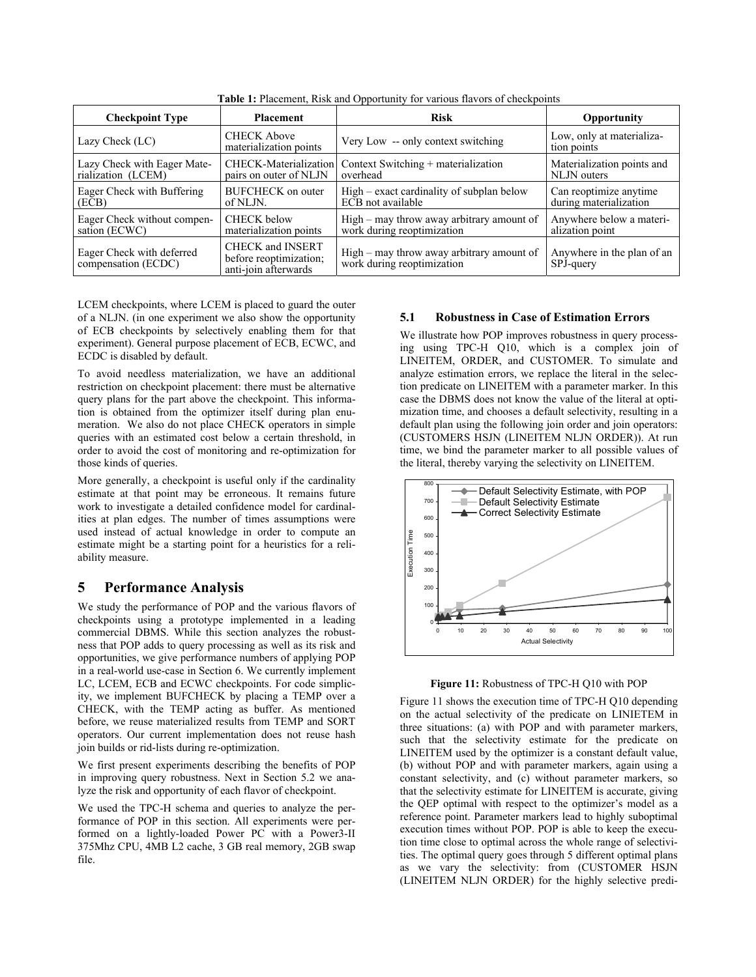| <b>Checkpoint Type</b>                           | <b>Placement</b>                                                          | <b>Risk</b>                                                             | Opportunity                              |  |
|--------------------------------------------------|---------------------------------------------------------------------------|-------------------------------------------------------------------------|------------------------------------------|--|
| Lazy Check $(LC)$                                | <b>CHECK Above</b><br>materialization points                              | Very Low -- only context switching                                      | Low, only at materializa-<br>tion points |  |
| Lazy Check with Eager Mate-                      | CHECK-Materialization                                                     | Context Switching + materialization                                     | Materialization points and               |  |
| rialization (LCEM)                               | pairs on outer of NLJN                                                    | overhead                                                                | NLJN outers                              |  |
| Eager Check with Buffering                       | <b>BUFCHECK</b> on outer                                                  | High – exact cardinality of subplan below                               | Can reoptimize anytime                   |  |
| (ECB)                                            | of NLJN.                                                                  | ECB not available                                                       | during materialization                   |  |
| Eager Check without compen-                      | <b>CHECK</b> below                                                        | High - may throw away arbitrary amount of                               | Anywhere below a materi-                 |  |
| sation (ECWC)                                    | materialization points                                                    | work during reoptimization                                              | alization point                          |  |
| Eager Check with deferred<br>compensation (ECDC) | <b>CHECK and INSERT</b><br>before reoptimization;<br>anti-join afterwards | High - may throw away arbitrary amount of<br>work during reoptimization | Anywhere in the plan of an<br>SPJ-query  |  |

**Table 1:** Placement, Risk and Opportunity for various flavors of checkpoints

LCEM checkpoints, where LCEM is placed to guard the outer of a NLJN. (in one experiment we also show the opportunity of ECB checkpoints by selectively enabling them for that experiment). General purpose placement of ECB, ECWC, and ECDC is disabled by default.

To avoid needless materialization, we have an additional restriction on checkpoint placement: there must be alternative query plans for the part above the checkpoint. This information is obtained from the optimizer itself during plan enumeration. We also do not place CHECK operators in simple queries with an estimated cost below a certain threshold, in order to avoid the cost of monitoring and re-optimization for those kinds of queries.

More generally, a checkpoint is useful only if the cardinality estimate at that point may be erroneous. It remains future work to investigate a detailed confidence model for cardinalities at plan edges. The number of times assumptions were used instead of actual knowledge in order to compute an estimate might be a starting point for a heuristics for a reliability measure.

# **5 Performance Analysis**

We study the performance of POP and the various flavors of checkpoints using a prototype implemented in a leading commercial DBMS. While this section analyzes the robustness that POP adds to query processing as well as its risk and opportunities, we give performance numbers of applying POP in a real-world use-case in Section 6. We currently implement LC, LCEM, ECB and ECWC checkpoints. For code simplicity, we implement BUFCHECK by placing a TEMP over a CHECK, with the TEMP acting as buffer. As mentioned before, we reuse materialized results from TEMP and SORT operators. Our current implementation does not reuse hash join builds or rid-lists during re-optimization.

We first present experiments describing the benefits of POP in improving query robustness. Next in Section 5.2 we analyze the risk and opportunity of each flavor of checkpoint.

We used the TPC-H schema and queries to analyze the performance of POP in this section. All experiments were performed on a lightly-loaded Power PC with a Power3-II 375Mhz CPU, 4MB L2 cache, 3 GB real memory, 2GB swap file.

### **5.1 Robustness in Case of Estimation Errors**

We illustrate how POP improves robustness in query processing using TPC-H Q10, which is a complex join of LINEITEM, ORDER, and CUSTOMER. To simulate and analyze estimation errors, we replace the literal in the selection predicate on LINEITEM with a parameter marker. In this case the DBMS does not know the value of the literal at optimization time, and chooses a default selectivity, resulting in a default plan using the following join order and join operators: (CUSTOMERS HSJN (LINEITEM NLJN ORDER)). At run time, we bind the parameter marker to all possible values of the literal, thereby varying the selectivity on LINEITEM.



**Figure 11:** Robustness of TPC-H Q10 with POP

Figure 11 shows the execution time of TPC-H Q10 depending on the actual selectivity of the predicate on LINIETEM in three situations: (a) with POP and with parameter markers, such that the selectivity estimate for the predicate on LINEITEM used by the optimizer is a constant default value, (b) without POP and with parameter markers, again using a constant selectivity, and (c) without parameter markers, so that the selectivity estimate for LINEITEM is accurate, giving the QEP optimal with respect to the optimizer's model as a reference point. Parameter markers lead to highly suboptimal execution times without POP. POP is able to keep the execution time close to optimal across the whole range of selectivities. The optimal query goes through 5 different optimal plans as we vary the selectivity: from (CUSTOMER HSJN (LINEITEM NLJN ORDER) for the highly selective predi-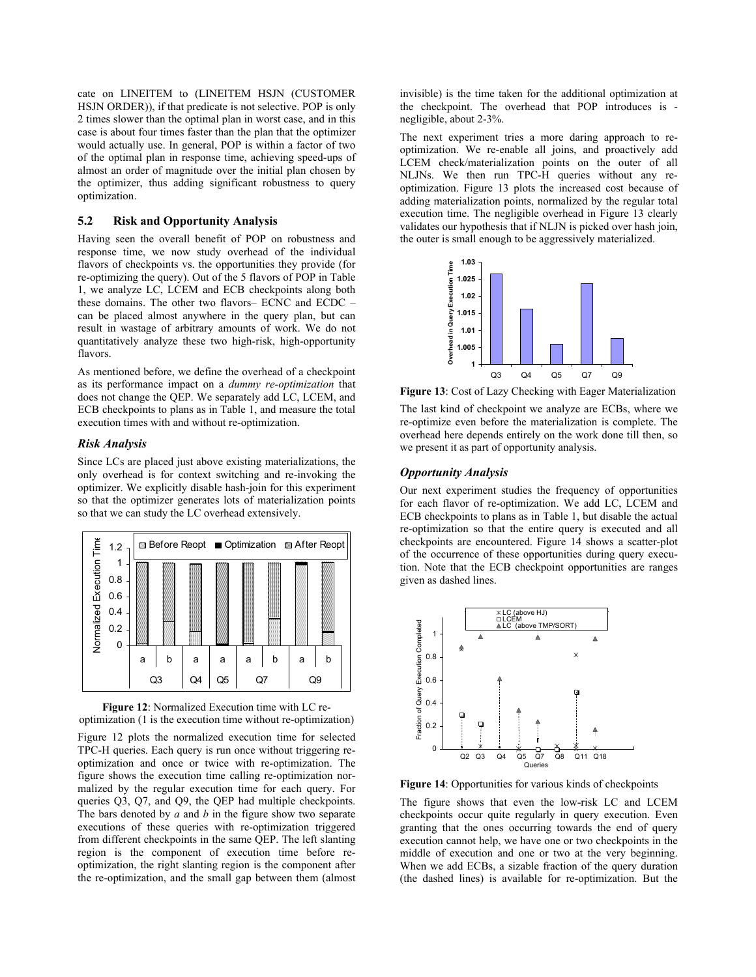cate on LINEITEM to (LINEITEM HSJN (CUSTOMER HSJN ORDER)), if that predicate is not selective. POP is only 2 times slower than the optimal plan in worst case, and in this case is about four times faster than the plan that the optimizer would actually use. In general, POP is within a factor of two of the optimal plan in response time, achieving speed-ups of almost an order of magnitude over the initial plan chosen by the optimizer, thus adding significant robustness to query optimization.

### **5.2 Risk and Opportunity Analysis**

Having seen the overall benefit of POP on robustness and response time, we now study overhead of the individual flavors of checkpoints vs. the opportunities they provide (for re-optimizing the query). Out of the 5 flavors of POP in Table 1, we analyze LC, LCEM and ECB checkpoints along both these domains. The other two flavors– ECNC and ECDC – can be placed almost anywhere in the query plan, but can result in wastage of arbitrary amounts of work. We do not quantitatively analyze these two high-risk, high-opportunity flavors.

As mentioned before, we define the overhead of a checkpoint as its performance impact on a *dummy re-optimization* that does not change the QEP. We separately add LC, LCEM, and ECB checkpoints to plans as in Table 1, and measure the total execution times with and without re-optimization.

#### *Risk Analysis*

Since LCs are placed just above existing materializations, the only overhead is for context switching and re-invoking the optimizer. We explicitly disable hash-join for this experiment so that the optimizer generates lots of materialization points so that we can study the LC overhead extensively.

| Normalized Execution Time | 1.2 |    |   |    |    |   |    |   | ■ Before Reopt ■ Optimization ■ After Reopt |
|---------------------------|-----|----|---|----|----|---|----|---|---------------------------------------------|
|                           |     |    |   |    |    |   |    |   |                                             |
|                           | 0.8 |    |   |    |    |   |    |   |                                             |
|                           | 0.6 |    |   |    |    |   |    |   |                                             |
|                           | 0.4 |    |   |    |    |   |    |   |                                             |
|                           | 0.2 |    |   |    |    |   |    |   |                                             |
|                           | 0   |    |   |    |    |   |    |   |                                             |
|                           |     | a  | b | a  | a  | a | b  | a | b                                           |
|                           |     | Q3 |   | Q4 | Q5 |   | J7 |   | Q9                                          |



Figure 12 plots the normalized execution time for selected TPC-H queries. Each query is run once without triggering reoptimization and once or twice with re-optimization. The figure shows the execution time calling re-optimization normalized by the regular execution time for each query. For queries Q3, Q7, and Q9, the QEP had multiple checkpoints. The bars denoted by *a* and *b* in the figure show two separate executions of these queries with re-optimization triggered from different checkpoints in the same QEP. The left slanting region is the component of execution time before reoptimization, the right slanting region is the component after the re-optimization, and the small gap between them (almost

invisible) is the time taken for the additional optimization at the checkpoint. The overhead that POP introduces is negligible, about 2-3%.

The next experiment tries a more daring approach to reoptimization. We re-enable all joins, and proactively add LCEM check/materialization points on the outer of all NLJNs. We then run TPC-H queries without any reoptimization. Figure 13 plots the increased cost because of adding materialization points, normalized by the regular total execution time. The negligible overhead in Figure 13 clearly validates our hypothesis that if NLJN is picked over hash join, the outer is small enough to be aggressively materialized.



**Figure 13**: Cost of Lazy Checking with Eager Materialization

The last kind of checkpoint we analyze are ECBs, where we re-optimize even before the materialization is complete. The overhead here depends entirely on the work done till then, so we present it as part of opportunity analysis.

### *Opportunity Analysis*

Our next experiment studies the frequency of opportunities for each flavor of re-optimization. We add LC, LCEM and ECB checkpoints to plans as in Table 1, but disable the actual re-optimization so that the entire query is executed and all checkpoints are encountered. Figure 14 shows a scatter-plot of the occurrence of these opportunities during query execution. Note that the ECB checkpoint opportunities are ranges given as dashed lines.



**Figure 14**: Opportunities for various kinds of checkpoints

The figure shows that even the low-risk LC and LCEM checkpoints occur quite regularly in query execution. Even granting that the ones occurring towards the end of query execution cannot help, we have one or two checkpoints in the middle of execution and one or two at the very beginning. When we add ECBs, a sizable fraction of the query duration (the dashed lines) is available for re-optimization. But the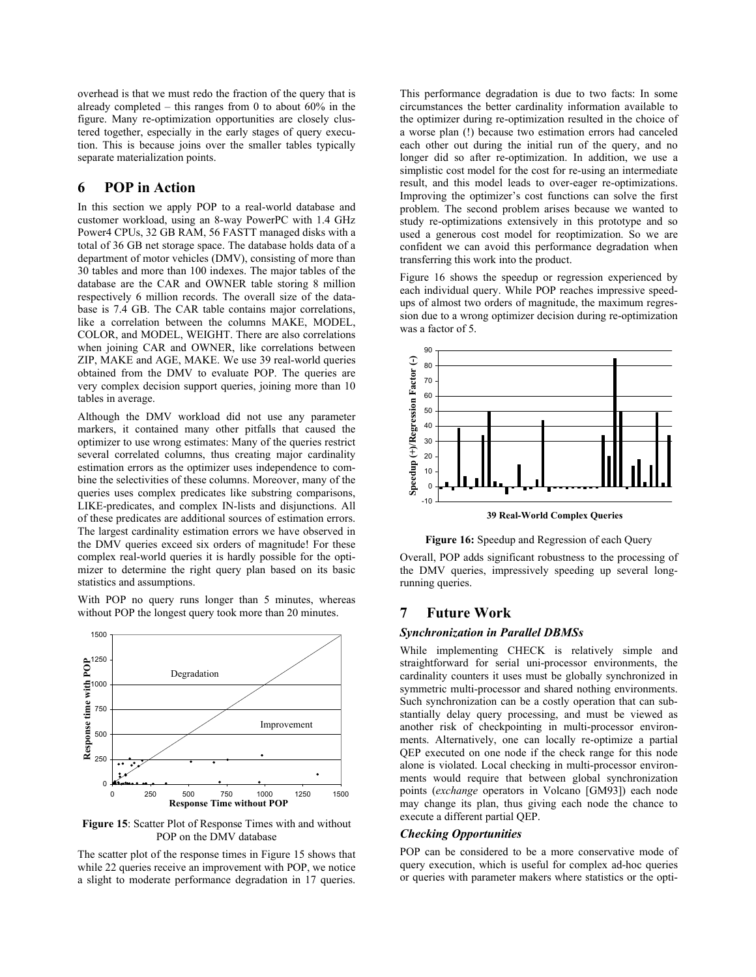overhead is that we must redo the fraction of the query that is already completed – this ranges from 0 to about  $60\%$  in the figure. Many re-optimization opportunities are closely clustered together, especially in the early stages of query execution. This is because joins over the smaller tables typically separate materialization points.

### **6 POP in Action**

In this section we apply POP to a real-world database and customer workload, using an 8-way PowerPC with 1.4 GHz Power4 CPUs, 32 GB RAM, 56 FASTT managed disks with a total of 36 GB net storage space. The database holds data of a department of motor vehicles (DMV), consisting of more than 30 tables and more than 100 indexes. The major tables of the database are the CAR and OWNER table storing 8 million respectively 6 million records. The overall size of the database is 7.4 GB. The CAR table contains major correlations, like a correlation between the columns MAKE, MODEL, COLOR, and MODEL, WEIGHT. There are also correlations when joining CAR and OWNER, like correlations between ZIP, MAKE and AGE, MAKE. We use 39 real-world queries obtained from the DMV to evaluate POP. The queries are very complex decision support queries, joining more than 10 tables in average.

Although the DMV workload did not use any parameter markers, it contained many other pitfalls that caused the optimizer to use wrong estimates: Many of the queries restrict several correlated columns, thus creating major cardinality estimation errors as the optimizer uses independence to combine the selectivities of these columns. Moreover, many of the queries uses complex predicates like substring comparisons, LIKE-predicates, and complex IN-lists and disjunctions. All of these predicates are additional sources of estimation errors. The largest cardinality estimation errors we have observed in the DMV queries exceed six orders of magnitude! For these complex real-world queries it is hardly possible for the optimizer to determine the right query plan based on its basic statistics and assumptions.

With POP no query runs longer than 5 minutes, whereas without POP the longest query took more than 20 minutes.



**Figure 15**: Scatter Plot of Response Times with and without POP on the DMV database

The scatter plot of the response times in Figure 15 shows that while 22 queries receive an improvement with POP, we notice a slight to moderate performance degradation in 17 queries.

This performance degradation is due to two facts: In some circumstances the better cardinality information available to the optimizer during re-optimization resulted in the choice of a worse plan (!) because two estimation errors had canceled each other out during the initial run of the query, and no longer did so after re-optimization. In addition, we use a simplistic cost model for the cost for re-using an intermediate result, and this model leads to over-eager re-optimizations. Improving the optimizer's cost functions can solve the first problem. The second problem arises because we wanted to study re-optimizations extensively in this prototype and so used a generous cost model for reoptimization. So we are confident we can avoid this performance degradation when transferring this work into the product.

Figure 16 shows the speedup or regression experienced by each individual query. While POP reaches impressive speedups of almost two orders of magnitude, the maximum regression due to a wrong optimizer decision during re-optimization was a factor of 5.



**Figure 16:** Speedup and Regression of each Query

Overall, POP adds significant robustness to the processing of the DMV queries, impressively speeding up several longrunning queries.

# **7 Future Work**

### *Synchronization in Parallel DBMSs*

While implementing CHECK is relatively simple and straightforward for serial uni-processor environments, the cardinality counters it uses must be globally synchronized in symmetric multi-processor and shared nothing environments. Such synchronization can be a costly operation that can substantially delay query processing, and must be viewed as another risk of checkpointing in multi-processor environments. Alternatively, one can locally re-optimize a partial QEP executed on one node if the check range for this node alone is violated. Local checking in multi-processor environments would require that between global synchronization points (*exchange* operators in Volcano [GM93]) each node may change its plan, thus giving each node the chance to execute a different partial QEP.

### *Checking Opportunities*

POP can be considered to be a more conservative mode of query execution, which is useful for complex ad-hoc queries or queries with parameter makers where statistics or the opti